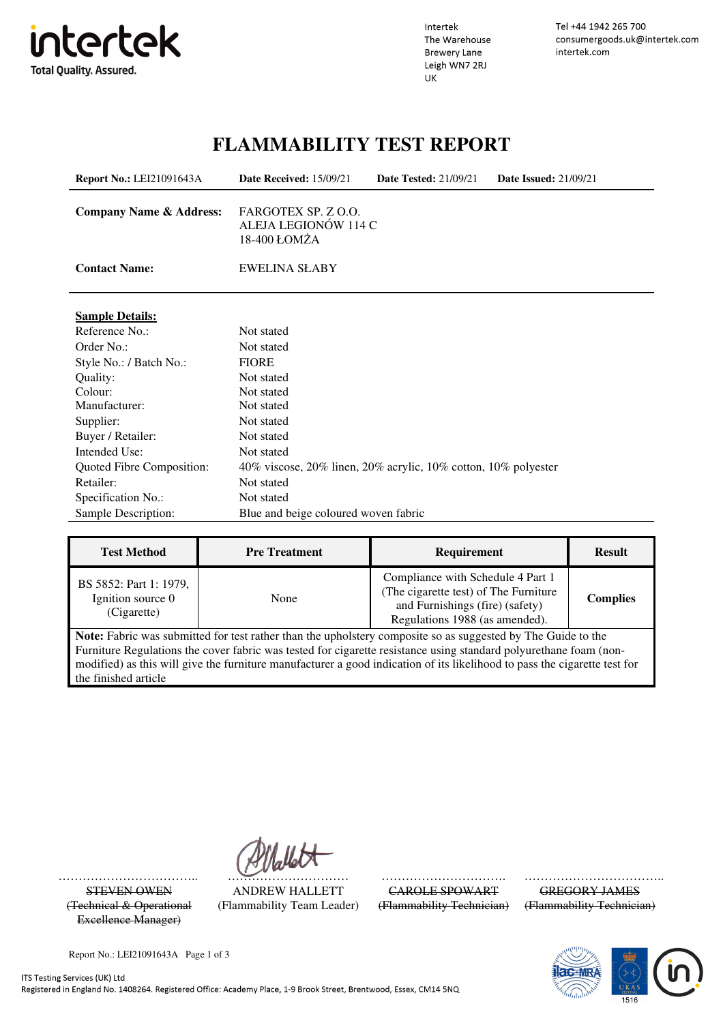

Intertek The Warehouse **Brewery Lane** Leigh WN7 2RJ UK

Tel +44 1942 265 700 consumergoods.uk@intertek.com intertek.com

### **FLAMMABILITY TEST REPORT**

| <b>Report No.: LEI21091643A</b>    | Date Received: 15/09/21                                        | <b>Date Tested: 21/09/21</b> | <b>Date Issued: 21/09/21</b> |
|------------------------------------|----------------------------------------------------------------|------------------------------|------------------------------|
| <b>Company Name &amp; Address:</b> | FARGOTEX SP. Z O.O.<br>ALEJA LEGIONÓW 114 C<br>18-400 ŁOMŻA    |                              |                              |
| <b>Contact Name:</b>               | <b>EWELINA SŁABY</b>                                           |                              |                              |
| <b>Sample Details:</b>             |                                                                |                              |                              |
| Reference No.:                     | Not stated                                                     |                              |                              |
| Order No.:                         | Not stated                                                     |                              |                              |
| Style No.: / Batch No.:            | <b>FIORE</b>                                                   |                              |                              |
| Quality:                           | Not stated                                                     |                              |                              |
| Colour:                            | Not stated                                                     |                              |                              |
| Manufacturer:                      | Not stated                                                     |                              |                              |
| Supplier:                          | Not stated                                                     |                              |                              |
| Buyer / Retailer:                  | Not stated                                                     |                              |                              |
| Intended Use:                      | Not stated                                                     |                              |                              |
| Quoted Fibre Composition:          | 40% viscose, 20% linen, 20% acrylic, 10% cotton, 10% polyester |                              |                              |
| Retailer:                          | Not stated                                                     |                              |                              |
| Specification No.:                 | Not stated                                                     |                              |                              |
| Sample Description:                | Blue and beige coloured woven fabric                           |                              |                              |

| <b>Test Method</b>                                                                                           | <b>Pre Treatment</b> | <b>Requirement</b>                                                                                                                              | <b>Result</b>   |
|--------------------------------------------------------------------------------------------------------------|----------------------|-------------------------------------------------------------------------------------------------------------------------------------------------|-----------------|
| BS 5852: Part 1: 1979,<br>Ignition source 0<br>(Cigarette)                                                   | None                 | Compliance with Schedule 4 Part 1<br>(The cigarette test) of The Furniture<br>and Furnishings (fire) (safety)<br>Regulations 1988 (as amended). | <b>Complies</b> |
| Note: Febric was submitted for test rather than the unholstery composite so as suggested by The Guide to the |                      |                                                                                                                                                 |                 |

**Note:** Fabric was submitted for test rather than the upholstery composite so as suggested by The Guide to the Furniture Regulations the cover fabric was tested for cigarette resistance using standard polyurethane foam (nonmodified) as this will give the furniture manufacturer a good indication of its likelihood to pass the cigarette test for the finished article

(Technical & Operational Excellence Manager)

STEVEN OWEN ANDREW HALLETT CAROLE SPOWART GREGORY JAMES (Flammability Team Leader) (Flammability Technician) (Flammability Technician)

…………………………….. ………………………… …………………………. ……………………………...



Report No.: LEI21091643A Page 1 of 3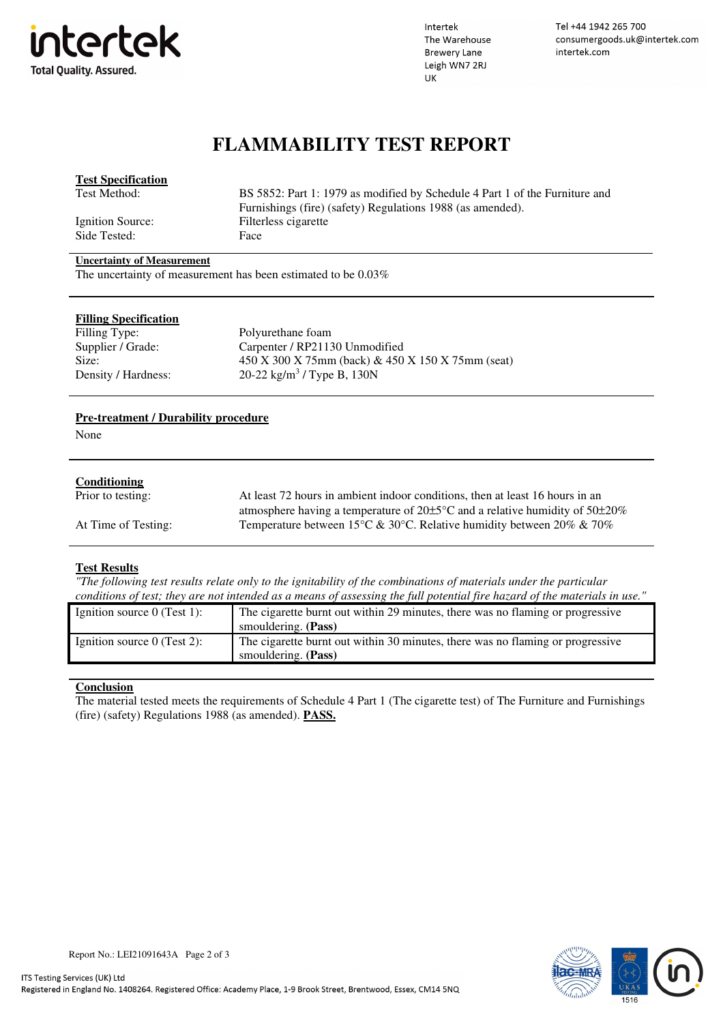

Intertek The Warehouse **Brewery Lane** Leigh WN7 2RJ UK

Tel +44 1942 265 700 consumergoods.uk@intertek.com intertek.com

## **FLAMMABILITY TEST REPORT**

| <b>Test Specification</b>         |                                                                             |
|-----------------------------------|-----------------------------------------------------------------------------|
| Test Method:                      | BS 5852: Part 1: 1979 as modified by Schedule 4 Part 1 of the Furniture and |
|                                   | Furnishings (fire) (safety) Regulations 1988 (as amended).                  |
| Ignition Source:                  | Filterless cigarette                                                        |
| Side Tested:                      | Face                                                                        |
| <b>Uncertainty of Measurement</b> |                                                                             |

The uncertainty of measurement has been estimated to be 0.03%

| <b>Filling Specification</b> |                                                       |
|------------------------------|-------------------------------------------------------|
| Filling Type:                | Polyurethane foam                                     |
| Supplier / Grade:            | Carpenter / RP21130 Unmodified                        |
| Size:                        | $450 X 300 X 75mm$ (back) & $450 X 150 X 75mm$ (seat) |
| Density / Hardness:          | 20-22 kg/m <sup>3</sup> / Type B, 130N                |
|                              |                                                       |

#### **Pre-treatment / Durability procedure**

None

#### **Conditioning**

| Prior to testing:   | At least 72 hours in ambient indoor conditions, then at least 16 hours in an                |
|---------------------|---------------------------------------------------------------------------------------------|
|                     | atmosphere having a temperature of $20\pm5\degree$ C and a relative humidity of $50\pm20\%$ |
| At Time of Testing: | Temperature between 15 °C & 30 °C. Relative humidity between 20% & 70%                      |

#### **Test Results**

*"The following test results relate only to the ignitability of the combinations of materials under the particular conditions of test; they are not intended as a means of assessing the full potential fire hazard of the materials in use."*

| Ignition source $0$ (Test 1): | The cigarette burnt out within 29 minutes, there was no flaming or progressive |
|-------------------------------|--------------------------------------------------------------------------------|
|                               | smouldering. (Pass)                                                            |
| Ignition source $0$ (Test 2): | The cigarette burnt out within 30 minutes, there was no flaming or progressive |
|                               | smouldering. (Pass)                                                            |

#### **Conclusion**

The material tested meets the requirements of Schedule 4 Part 1 (The cigarette test) of The Furniture and Furnishings (fire) (safety) Regulations 1988 (as amended). **PASS.**